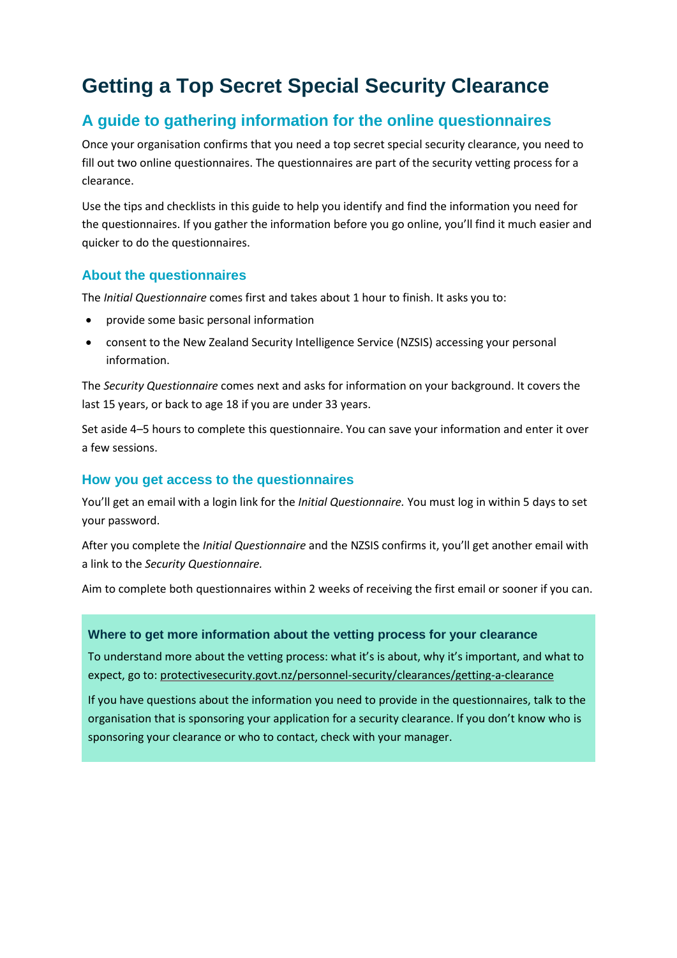## **Getting a Top Secret Special Security Clearance**

### **A guide to gathering information for the online questionnaires**

Once your organisation confirms that you need a top secret special security clearance, you need to fill out two online questionnaires. The questionnaires are part of the security vetting process for a clearance.

Use the tips and checklists in this guide to help you identify and find the information you need for the questionnaires. If you gather the information before you go online, you'll find it much easier and quicker to do the questionnaires.

### **About the questionnaires**

The *Initial Questionnaire* comes first and takes about 1 hour to finish. It asks you to:

- provide some basic personal information
- consent to the New Zealand Security Intelligence Service (NZSIS) accessing your personal information.

The *Security Questionnaire* comes next and asks for information on your background. It covers the last 15 years, or back to age 18 if you are under 33 years.

Set aside 4–5 hours to complete this questionnaire. You can save your information and enter it over a few sessions.

#### **How you get access to the questionnaires**

You'll get an email with a login link for the *Initial Questionnaire.* You must log in within 5 days to set your password.

After you complete the *Initial Questionnaire* and the NZSIS confirms it, you'll get another email with a link to the *Security Questionnaire.*

Aim to complete both questionnaires within 2 weeks of receiving the first email or sooner if you can.

#### **Where to get more information about the vetting process for your clearance**

To understand more about the vetting process: what it's is about, why it's important, and what to expect, go to: [protectivesecurity.govt.nz/personnel-security/clearances/getting-a-clearance](http://www.protectivesecurity.govt.nz/personnel-security/clearances/getting-a-clearance/)

If you have questions about the information you need to provide in the questionnaires, talk to the organisation that is sponsoring your application for a security clearance. If you don't know who is sponsoring your clearance or who to contact, check with your manager.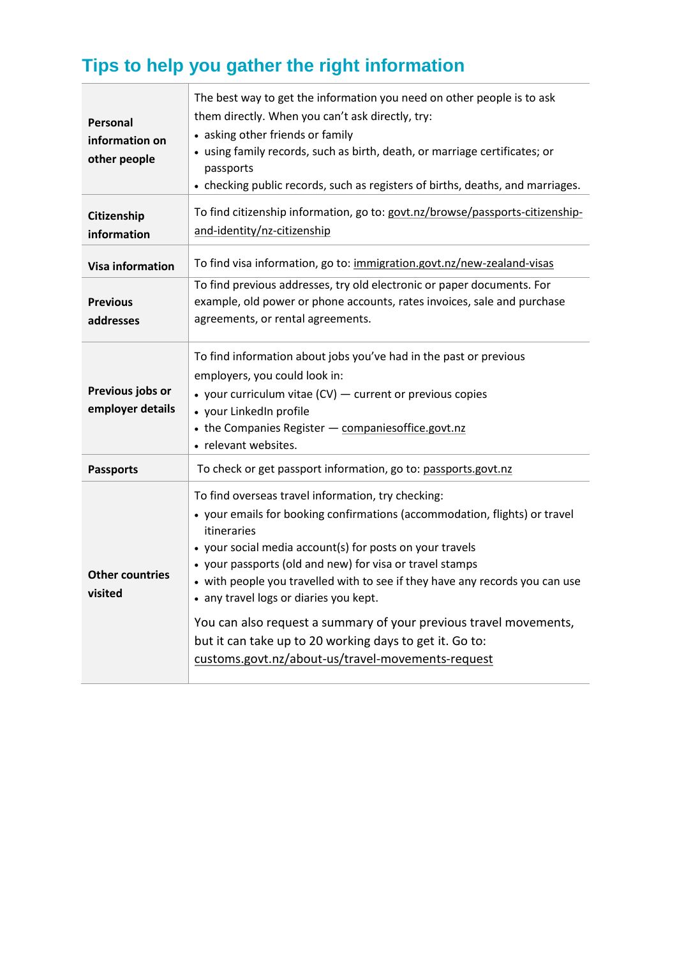# **Tips to help you gather the right information**

| <b>Personal</b><br>information on<br>other people | The best way to get the information you need on other people is to ask<br>them directly. When you can't ask directly, try:<br>• asking other friends or family<br>• using family records, such as birth, death, or marriage certificates; or<br>passports<br>• checking public records, such as registers of births, deaths, and marriages.                                                                                                                                                                                                                                            |
|---------------------------------------------------|----------------------------------------------------------------------------------------------------------------------------------------------------------------------------------------------------------------------------------------------------------------------------------------------------------------------------------------------------------------------------------------------------------------------------------------------------------------------------------------------------------------------------------------------------------------------------------------|
| Citizenship<br>information                        | To find citizenship information, go to: govt.nz/browse/passports-citizenship-<br>and-identity/nz-citizenship                                                                                                                                                                                                                                                                                                                                                                                                                                                                           |
| <b>Visa information</b>                           | To find visa information, go to: immigration.govt.nz/new-zealand-visas                                                                                                                                                                                                                                                                                                                                                                                                                                                                                                                 |
| <b>Previous</b><br>addresses                      | To find previous addresses, try old electronic or paper documents. For<br>example, old power or phone accounts, rates invoices, sale and purchase<br>agreements, or rental agreements.                                                                                                                                                                                                                                                                                                                                                                                                 |
| Previous jobs or<br>employer details              | To find information about jobs you've had in the past or previous<br>employers, you could look in:<br>• your curriculum vitae (CV) - current or previous copies<br>• your LinkedIn profile<br>• the Companies Register - companies office.govt.nz<br>• relevant websites.                                                                                                                                                                                                                                                                                                              |
| <b>Passports</b>                                  | To check or get passport information, go to: passports.govt.nz                                                                                                                                                                                                                                                                                                                                                                                                                                                                                                                         |
| <b>Other countries</b><br>visited                 | To find overseas travel information, try checking:<br>• your emails for booking confirmations (accommodation, flights) or travel<br>itineraries<br>• your social media account(s) for posts on your travels<br>• your passports (old and new) for visa or travel stamps<br>• with people you travelled with to see if they have any records you can use<br>• any travel logs or diaries you kept.<br>You can also request a summary of your previous travel movements,<br>but it can take up to 20 working days to get it. Go to:<br>customs.govt.nz/about-us/travel-movements-request |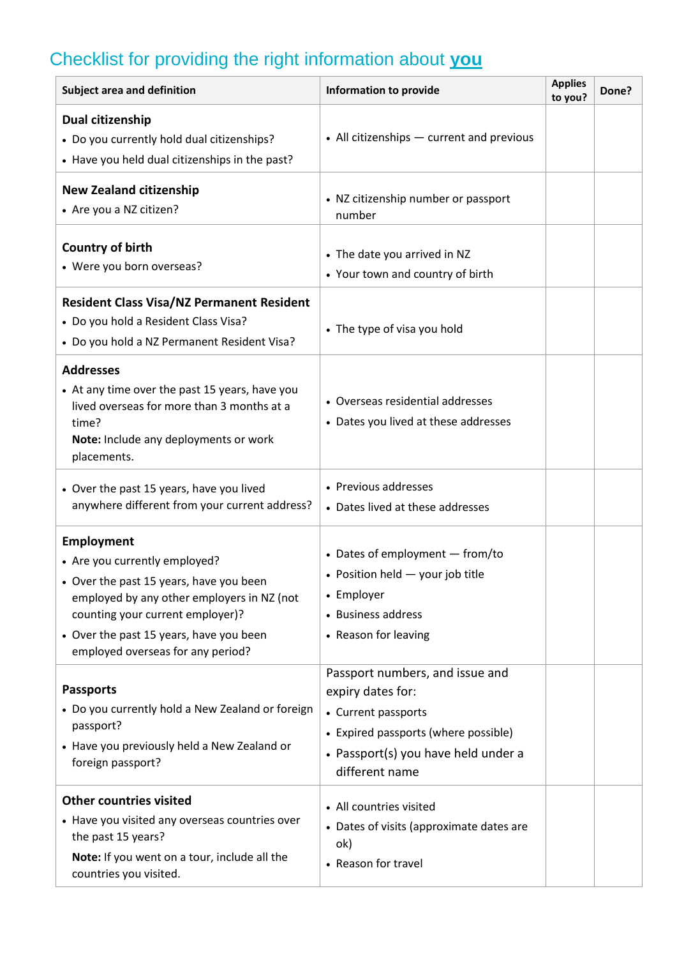# Checklist for providing the right information about **you**

| <b>Subject area and definition</b>                                                                                                                                                                                                                       | <b>Information to provide</b>                                                                                                                                                | <b>Applies</b><br>to you? | Done? |
|----------------------------------------------------------------------------------------------------------------------------------------------------------------------------------------------------------------------------------------------------------|------------------------------------------------------------------------------------------------------------------------------------------------------------------------------|---------------------------|-------|
| Dual citizenship<br>• Do you currently hold dual citizenships?<br>• Have you held dual citizenships in the past?                                                                                                                                         | • All citizenships - current and previous                                                                                                                                    |                           |       |
| <b>New Zealand citizenship</b><br>• Are you a NZ citizen?                                                                                                                                                                                                | • NZ citizenship number or passport<br>number                                                                                                                                |                           |       |
| Country of birth<br>• Were you born overseas?                                                                                                                                                                                                            | • The date you arrived in NZ<br>• Your town and country of birth                                                                                                             |                           |       |
| <b>Resident Class Visa/NZ Permanent Resident</b><br>• Do you hold a Resident Class Visa?<br>• Do you hold a NZ Permanent Resident Visa?                                                                                                                  | • The type of visa you hold                                                                                                                                                  |                           |       |
| <b>Addresses</b><br>• At any time over the past 15 years, have you<br>lived overseas for more than 3 months at a<br>time?<br>Note: Include any deployments or work<br>placements.                                                                        | • Overseas residential addresses<br>• Dates you lived at these addresses                                                                                                     |                           |       |
| • Over the past 15 years, have you lived<br>anywhere different from your current address?                                                                                                                                                                | • Previous addresses<br>• Dates lived at these addresses                                                                                                                     |                           |       |
| Employment<br>• Are you currently employed?<br>• Over the past 15 years, have you been<br>employed by any other employers in NZ (not<br>counting your current employer)?<br>• Over the past 15 years, have you been<br>employed overseas for any period? | • Dates of employment - from/to<br>• Position held - your job title<br>• Employer<br>• Business address<br>• Reason for leaving                                              |                           |       |
| <b>Passports</b><br>• Do you currently hold a New Zealand or foreign<br>passport?<br>• Have you previously held a New Zealand or<br>foreign passport?                                                                                                    | Passport numbers, and issue and<br>expiry dates for:<br>• Current passports<br>• Expired passports (where possible)<br>• Passport(s) you have held under a<br>different name |                           |       |
| <b>Other countries visited</b><br>• Have you visited any overseas countries over<br>the past 15 years?<br>Note: If you went on a tour, include all the<br>countries you visited.                                                                         | • All countries visited<br>• Dates of visits (approximate dates are<br>ok)<br>• Reason for travel                                                                            |                           |       |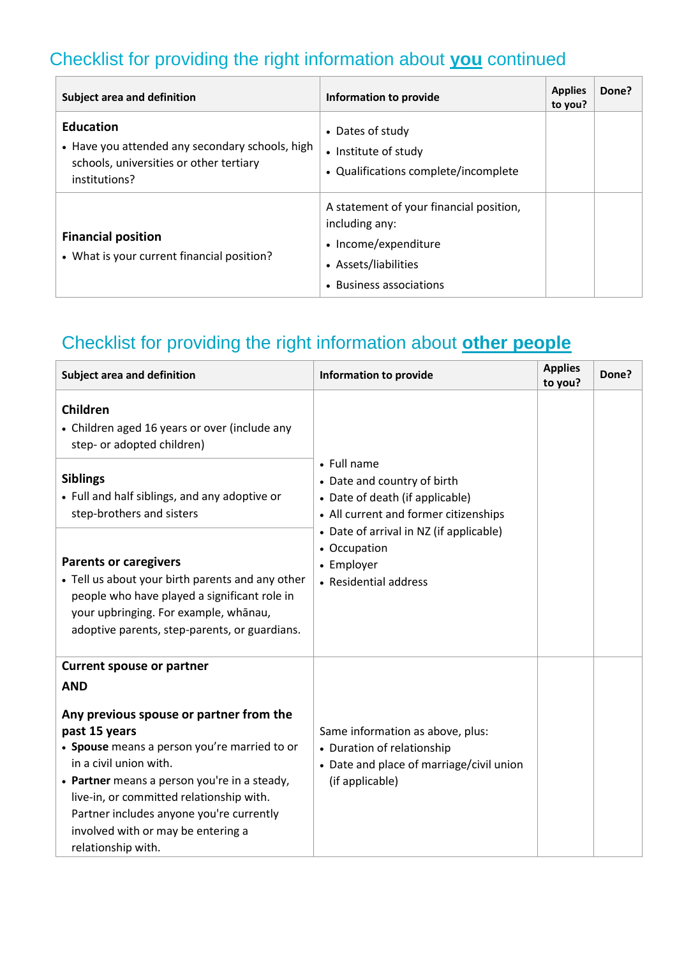## Checklist for providing the right information about **you** continued

| <b>Subject area and definition</b>                                                                                              | Information to provide                                                                                                               | <b>Applies</b><br>to you? | Done? |
|---------------------------------------------------------------------------------------------------------------------------------|--------------------------------------------------------------------------------------------------------------------------------------|---------------------------|-------|
| <b>Education</b><br>• Have you attended any secondary schools, high<br>schools, universities or other tertiary<br>institutions? | • Dates of study<br>• Institute of study<br>• Qualifications complete/incomplete                                                     |                           |       |
| <b>Financial position</b><br>• What is your current financial position?                                                         | A statement of your financial position,<br>including any:<br>• Income/expenditure<br>• Assets/liabilities<br>• Business associations |                           |       |

## Checklist for providing the right information about **other people**

| Subject area and definition                                                                                                                                                                                                | <b>Information to provide</b>                                                                                          | <b>Applies</b><br>to you? | Done? |
|----------------------------------------------------------------------------------------------------------------------------------------------------------------------------------------------------------------------------|------------------------------------------------------------------------------------------------------------------------|---------------------------|-------|
| Children<br>• Children aged 16 years or over (include any<br>step- or adopted children)                                                                                                                                    |                                                                                                                        |                           |       |
| <b>Siblings</b><br>• Full and half siblings, and any adoptive or<br>step-brothers and sisters                                                                                                                              | • Full name<br>• Date and country of birth<br>• Date of death (if applicable)<br>• All current and former citizenships |                           |       |
| <b>Parents or caregivers</b><br>• Tell us about your birth parents and any other<br>people who have played a significant role in<br>your upbringing. For example, whanau,<br>adoptive parents, step-parents, or guardians. | • Date of arrival in NZ (if applicable)<br>• Occupation<br>• Employer<br>• Residential address                         |                           |       |
| <b>Current spouse or partner</b>                                                                                                                                                                                           |                                                                                                                        |                           |       |
| <b>AND</b><br>Any previous spouse or partner from the<br>past 15 years<br>• Spouse means a person you're married to or<br>in a civil union with.                                                                           | Same information as above, plus:<br>• Duration of relationship<br>• Date and place of marriage/civil union             |                           |       |
| • Partner means a person you're in a steady,<br>live-in, or committed relationship with.<br>Partner includes anyone you're currently<br>involved with or may be entering a<br>relationship with.                           | (if applicable)                                                                                                        |                           |       |